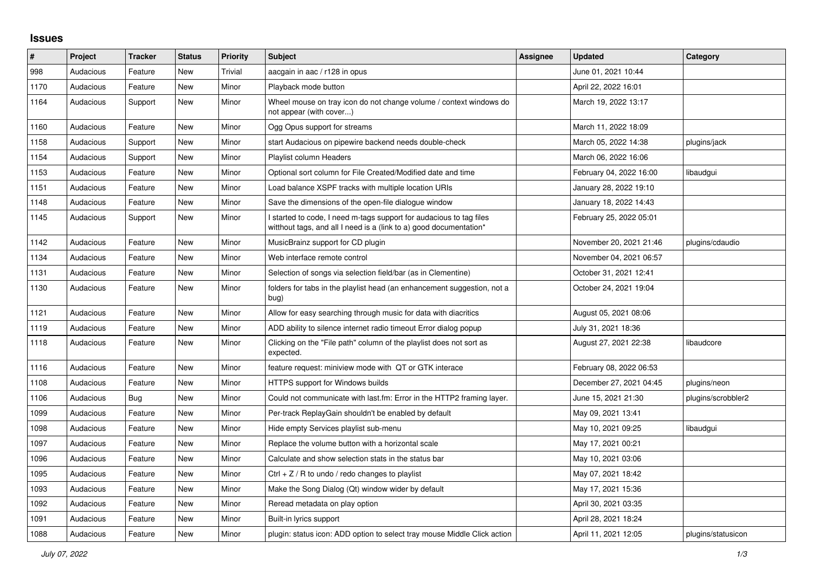## **Issues**

| #    | Project   | <b>Tracker</b> | <b>Status</b> | <b>Priority</b> | <b>Subject</b>                                                                                                                            | Assignee | <b>Updated</b>          | Category           |
|------|-----------|----------------|---------------|-----------------|-------------------------------------------------------------------------------------------------------------------------------------------|----------|-------------------------|--------------------|
| 998  | Audacious | Feature        | New           | Trivial         | aacgain in aac / r128 in opus                                                                                                             |          | June 01, 2021 10:44     |                    |
| 1170 | Audacious | Feature        | New           | Minor           | Playback mode button                                                                                                                      |          | April 22, 2022 16:01    |                    |
| 1164 | Audacious | Support        | <b>New</b>    | Minor           | Wheel mouse on tray icon do not change volume / context windows do<br>not appear (with cover)                                             |          | March 19, 2022 13:17    |                    |
| 1160 | Audacious | Feature        | New           | Minor           | Ogg Opus support for streams                                                                                                              |          | March 11, 2022 18:09    |                    |
| 1158 | Audacious | Support        | New           | Minor           | start Audacious on pipewire backend needs double-check                                                                                    |          | March 05, 2022 14:38    | plugins/jack       |
| 1154 | Audacious | Support        | New           | Minor           | Playlist column Headers                                                                                                                   |          | March 06, 2022 16:06    |                    |
| 1153 | Audacious | Feature        | <b>New</b>    | Minor           | Optional sort column for File Created/Modified date and time                                                                              |          | February 04, 2022 16:00 | libaudgui          |
| 1151 | Audacious | Feature        | New           | Minor           | Load balance XSPF tracks with multiple location URIs                                                                                      |          | January 28, 2022 19:10  |                    |
| 1148 | Audacious | Feature        | New           | Minor           | Save the dimensions of the open-file dialogue window                                                                                      |          | January 18, 2022 14:43  |                    |
| 1145 | Audacious | Support        | New           | Minor           | I started to code, I need m-tags support for audacious to tag files<br>witthout tags, and all I need is a (link to a) good documentation* |          | February 25, 2022 05:01 |                    |
| 1142 | Audacious | Feature        | New           | Minor           | MusicBrainz support for CD plugin                                                                                                         |          | November 20, 2021 21:46 | plugins/cdaudio    |
| 1134 | Audacious | Feature        | New           | Minor           | Web interface remote control                                                                                                              |          | November 04, 2021 06:57 |                    |
| 1131 | Audacious | Feature        | New           | Minor           | Selection of songs via selection field/bar (as in Clementine)                                                                             |          | October 31, 2021 12:41  |                    |
| 1130 | Audacious | Feature        | New           | Minor           | folders for tabs in the playlist head (an enhancement suggestion, not a<br>bug)                                                           |          | October 24, 2021 19:04  |                    |
| 1121 | Audacious | Feature        | <b>New</b>    | Minor           | Allow for easy searching through music for data with diacritics                                                                           |          | August 05, 2021 08:06   |                    |
| 1119 | Audacious | Feature        | <b>New</b>    | Minor           | ADD ability to silence internet radio timeout Error dialog popup                                                                          |          | July 31, 2021 18:36     |                    |
| 1118 | Audacious | Feature        | New           | Minor           | Clicking on the "File path" column of the playlist does not sort as<br>expected.                                                          |          | August 27, 2021 22:38   | libaudcore         |
| 1116 | Audacious | Feature        | New           | Minor           | feature request: miniview mode with QT or GTK interace                                                                                    |          | February 08, 2022 06:53 |                    |
| 1108 | Audacious | Feature        | New           | Minor           | HTTPS support for Windows builds                                                                                                          |          | December 27, 2021 04:45 | plugins/neon       |
| 1106 | Audacious | <b>Bug</b>     | New           | Minor           | Could not communicate with last.fm: Error in the HTTP2 framing layer.                                                                     |          | June 15, 2021 21:30     | plugins/scrobbler2 |
| 1099 | Audacious | Feature        | New           | Minor           | Per-track ReplayGain shouldn't be enabled by default                                                                                      |          | May 09, 2021 13:41      |                    |
| 1098 | Audacious | Feature        | New           | Minor           | Hide empty Services playlist sub-menu                                                                                                     |          | May 10, 2021 09:25      | libaudgui          |
| 1097 | Audacious | Feature        | New           | Minor           | Replace the volume button with a horizontal scale                                                                                         |          | May 17, 2021 00:21      |                    |
| 1096 | Audacious | Feature        | New           | Minor           | Calculate and show selection stats in the status bar                                                                                      |          | May 10, 2021 03:06      |                    |
| 1095 | Audacious | Feature        | New           | Minor           | Ctrl $+ Z / R$ to undo / redo changes to playlist                                                                                         |          | May 07, 2021 18:42      |                    |
| 1093 | Audacious | Feature        | New           | Minor           | Make the Song Dialog (Qt) window wider by default                                                                                         |          | May 17, 2021 15:36      |                    |
| 1092 | Audacious | Feature        | New           | Minor           | Reread metadata on play option                                                                                                            |          | April 30, 2021 03:35    |                    |
| 1091 | Audacious | Feature        | New           | Minor           | Built-in lyrics support                                                                                                                   |          | April 28, 2021 18:24    |                    |
| 1088 | Audacious | Feature        | New           | Minor           | plugin: status icon: ADD option to select tray mouse Middle Click action                                                                  |          | April 11, 2021 12:05    | plugins/statusicon |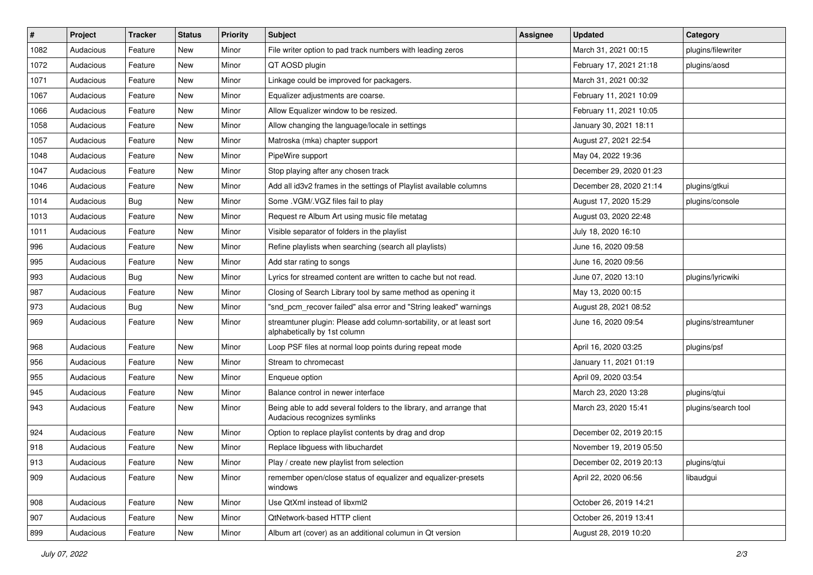| #    | Project   | <b>Tracker</b> | <b>Status</b> | <b>Priority</b> | <b>Subject</b>                                                                                      | <b>Assignee</b> | <b>Updated</b>          | Category            |
|------|-----------|----------------|---------------|-----------------|-----------------------------------------------------------------------------------------------------|-----------------|-------------------------|---------------------|
| 1082 | Audacious | Feature        | <b>New</b>    | Minor           | File writer option to pad track numbers with leading zeros                                          |                 | March 31, 2021 00:15    | plugins/filewriter  |
| 1072 | Audacious | Feature        | <b>New</b>    | Minor           | QT AOSD plugin                                                                                      |                 | February 17, 2021 21:18 | plugins/aosd        |
| 1071 | Audacious | Feature        | New           | Minor           | Linkage could be improved for packagers.                                                            |                 | March 31, 2021 00:32    |                     |
| 1067 | Audacious | Feature        | New           | Minor           | Equalizer adjustments are coarse.                                                                   |                 | February 11, 2021 10:09 |                     |
| 1066 | Audacious | Feature        | New           | Minor           | Allow Equalizer window to be resized.                                                               |                 | February 11, 2021 10:05 |                     |
| 1058 | Audacious | Feature        | New           | Minor           | Allow changing the language/locale in settings                                                      |                 | January 30, 2021 18:11  |                     |
| 1057 | Audacious | Feature        | New           | Minor           | Matroska (mka) chapter support                                                                      |                 | August 27, 2021 22:54   |                     |
| 1048 | Audacious | Feature        | New           | Minor           | PipeWire support                                                                                    |                 | May 04, 2022 19:36      |                     |
| 1047 | Audacious | Feature        | New           | Minor           | Stop playing after any chosen track                                                                 |                 | December 29, 2020 01:23 |                     |
| 1046 | Audacious | Feature        | New           | Minor           | Add all id3v2 frames in the settings of Playlist available columns                                  |                 | December 28, 2020 21:14 | plugins/gtkui       |
| 1014 | Audacious | <b>Bug</b>     | New           | Minor           | Some .VGM/.VGZ files fail to play                                                                   |                 | August 17, 2020 15:29   | plugins/console     |
| 1013 | Audacious | Feature        | <b>New</b>    | Minor           | Request re Album Art using music file metatag                                                       |                 | August 03, 2020 22:48   |                     |
| 1011 | Audacious | Feature        | New           | Minor           | Visible separator of folders in the playlist                                                        |                 | July 18, 2020 16:10     |                     |
| 996  | Audacious | Feature        | New           | Minor           | Refine playlists when searching (search all playlists)                                              |                 | June 16, 2020 09:58     |                     |
| 995  | Audacious | Feature        | <b>New</b>    | Minor           | Add star rating to songs                                                                            |                 | June 16, 2020 09:56     |                     |
| 993  | Audacious | <b>Bug</b>     | New           | Minor           | Lyrics for streamed content are written to cache but not read.                                      |                 | June 07, 2020 13:10     | plugins/lyricwiki   |
| 987  | Audacious | Feature        | <b>New</b>    | Minor           | Closing of Search Library tool by same method as opening it                                         |                 | May 13, 2020 00:15      |                     |
| 973  | Audacious | Bug            | New           | Minor           | "snd_pcm_recover failed" alsa error and "String leaked" warnings                                    |                 | August 28, 2021 08:52   |                     |
| 969  | Audacious | Feature        | New           | Minor           | streamtuner plugin: Please add column-sortability, or at least sort<br>alphabetically by 1st column |                 | June 16, 2020 09:54     | plugins/streamtuner |
| 968  | Audacious | Feature        | New           | Minor           | Loop PSF files at normal loop points during repeat mode                                             |                 | April 16, 2020 03:25    | plugins/psf         |
| 956  | Audacious | Feature        | New           | Minor           | Stream to chromecast                                                                                |                 | January 11, 2021 01:19  |                     |
| 955  | Audacious | Feature        | <b>New</b>    | Minor           | Enqueue option                                                                                      |                 | April 09, 2020 03:54    |                     |
| 945  | Audacious | Feature        | New           | Minor           | Balance control in newer interface                                                                  |                 | March 23, 2020 13:28    | plugins/gtui        |
| 943  | Audacious | Feature        | New           | Minor           | Being able to add several folders to the library, and arrange that<br>Audacious recognizes symlinks |                 | March 23, 2020 15:41    | plugins/search tool |
| 924  | Audacious | Feature        | <b>New</b>    | Minor           | Option to replace playlist contents by drag and drop                                                |                 | December 02, 2019 20:15 |                     |
| 918  | Audacious | Feature        | <b>New</b>    | Minor           | Replace libguess with libuchardet                                                                   |                 | November 19, 2019 05:50 |                     |
| 913  | Audacious | Feature        | New           | Minor           | Play / create new playlist from selection                                                           |                 | December 02, 2019 20:13 | plugins/qtui        |
| 909  | Audacious | Feature        | New           | Minor           | remember open/close status of equalizer and equalizer-presets<br>windows                            |                 | April 22, 2020 06:56    | libaudgui           |
| 908  | Audacious | Feature        | New           | Minor           | Use QtXml instead of libxml2                                                                        |                 | October 26, 2019 14:21  |                     |
| 907  | Audacious | Feature        | New           | Minor           | QtNetwork-based HTTP client                                                                         |                 | October 26, 2019 13:41  |                     |
| 899  | Audacious | Feature        | New           | Minor           | Album art (cover) as an additional columun in Qt version                                            |                 | August 28, 2019 10:20   |                     |